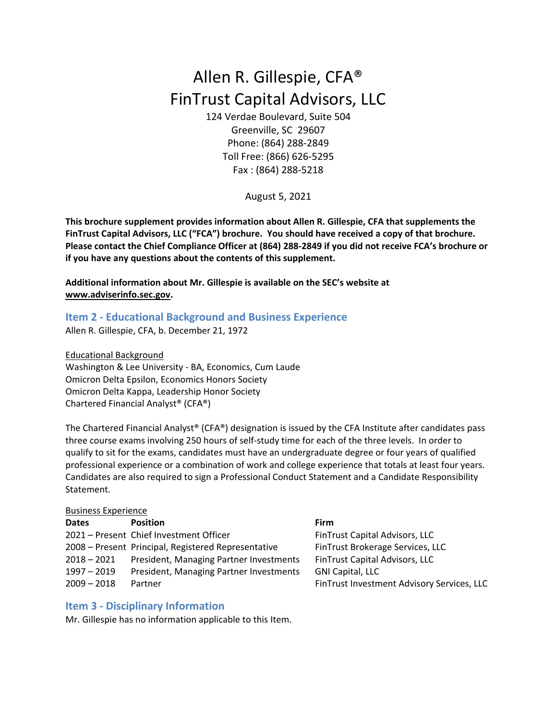# Allen R. Gillespie, CFA® FinTrust Capital Advisors, LLC

124 Verdae Boulevard, Suite 504 Greenville, SC 29607 Phone: (864) 288‐2849 Toll Free: (866) 626‐5295 Fax : (864) 288‐5218

August 5, 2021

**This brochure supplement provides information about Allen R. Gillespie, CFA that supplements the FinTrust Capital Advisors, LLC ("FCA") brochure. You should have received a copy of that brochure.**  Please contact the Chief Compliance Officer at (864) 288-2849 if you did not receive FCA's brochure or **if you have any questions about the contents of this supplement.**

**Additional information about Mr. Gillespie is available on the SEC's website at www.adviserinfo.sec.gov.**

# **Item 2 ‐ Educational Background and Business Experience**

Allen R. Gillespie, CFA, b. December 21, 1972

Educational Background Washington & Lee University ‐ BA, Economics, Cum Laude Omicron Delta Epsilon, Economics Honors Society Omicron Delta Kappa, Leadership Honor Society Chartered Financial Analyst® (CFA®)

The Chartered Financial Analyst® (CFA®) designation is issued by the CFA Institute after candidates pass three course exams involving 250 hours of self‐study time for each of the three levels. In order to qualify to sit for the exams, candidates must have an undergraduate degree or four years of qualified professional experience or a combination of work and college experience that totals at least four years. Candidates are also required to sign a Professional Conduct Statement and a Candidate Responsibility Statement.

| <b>Business Experience</b> |                                                     |                                            |
|----------------------------|-----------------------------------------------------|--------------------------------------------|
| <b>Dates</b>               | <b>Position</b>                                     | <b>Firm</b>                                |
|                            | 2021 - Present Chief Investment Officer             | FinTrust Capital Advisors, LLC             |
|                            | 2008 - Present Principal, Registered Representative | FinTrust Brokerage Services, LLC           |
| $2018 - 2021$              | President, Managing Partner Investments             | FinTrust Capital Advisors, LLC             |
| $1997 - 2019$              | President, Managing Partner Investments             | <b>GNI Capital, LLC</b>                    |
| $2009 - 2018$              | Partner                                             | FinTrust Investment Advisory Services, LLC |
|                            |                                                     |                                            |

# **Item 3 ‐ Disciplinary Information**

Mr. Gillespie has no information applicable to this Item.